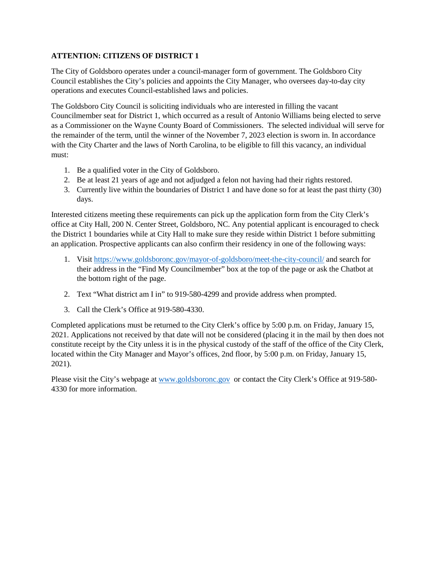## **ATTENTION: CITIZENS OF DISTRICT 1**

The City of Goldsboro operates under a council-manager form of government. The Goldsboro City Council establishes the City's policies and appoints the City Manager, who oversees day-to-day city operations and executes Council-established laws and policies.

The Goldsboro City Council is soliciting individuals who are interested in filling the vacant Councilmember seat for District 1, which occurred as a result of Antonio Williams being elected to serve as a Commissioner on the Wayne County Board of Commissioners. The selected individual will serve for the remainder of the term, until the winner of the November 7, 2023 election is sworn in. In accordance with the City Charter and the laws of North Carolina, to be eligible to fill this vacancy, an individual must:

- 1. Be a qualified voter in the City of Goldsboro.
- 2. Be at least 21 years of age and not adjudged a felon not having had their rights restored.
- 3. Currently live within the boundaries of District 1 and have done so for at least the past thirty (30) days.

Interested citizens meeting these requirements can pick up the application form from the City Clerk's office at City Hall, 200 N. Center Street, Goldsboro, NC. Any potential applicant is encouraged to check the District 1 boundaries while at City Hall to make sure they reside within District 1 before submitting an application. Prospective applicants can also confirm their residency in one of the following ways:

- 1. Visit<https://www.goldsboronc.gov/mayor-of-goldsboro/meet-the-city-council/> and search for their address in the "Find My Councilmember" box at the top of the page or ask the Chatbot at the bottom right of the page.
- 2. Text "What district am I in" to 919-580-4299 and provide address when prompted.
- 3. Call the Clerk's Office at 919-580-4330.

Completed applications must be returned to the City Clerk's office by 5:00 p.m. on Friday, January 15, 2021. Applications not received by that date will not be considered (placing it in the mail by then does not constitute receipt by the City unless it is in the physical custody of the staff of the office of the City Clerk, located within the City Manager and Mayor's offices, 2nd floor, by 5:00 p.m. on Friday, January 15, 2021).

Please visit the City's webpage at [www.goldsboronc.gov](http://www.goldsboronc.gov/) or contact the City Clerk's Office at 919-580-4330 for more information.